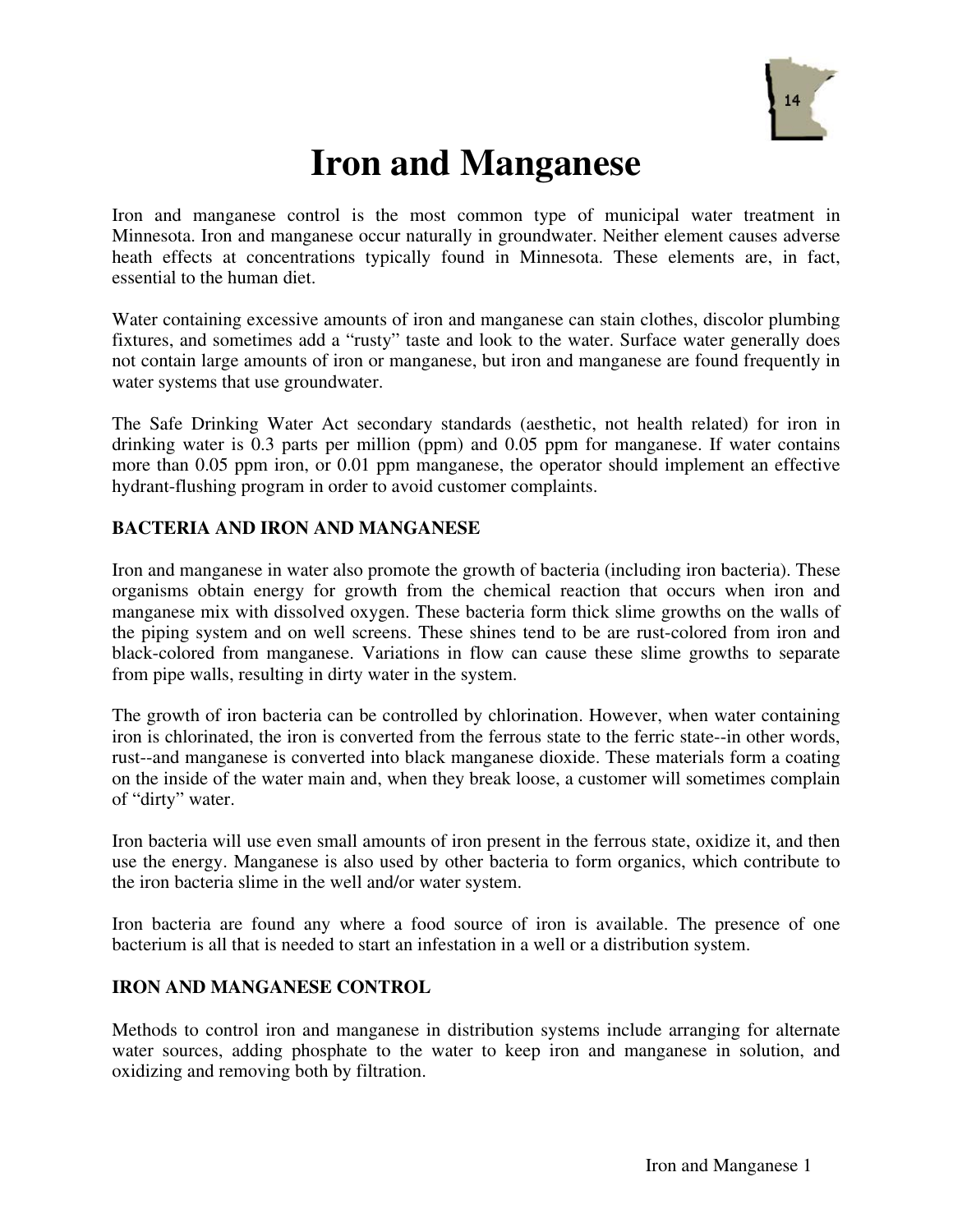

# **Iron and Manganese**

Iron and manganese control is the most common type of municipal water treatment in Minnesota. Iron and manganese occur naturally in groundwater. Neither element causes adverse heath effects at concentrations typically found in Minnesota. These elements are, in fact, essential to the human diet.

Water containing excessive amounts of iron and manganese can stain clothes, discolor plumbing fixtures, and sometimes add a "rusty" taste and look to the water. Surface water generally does not contain large amounts of iron or manganese, but iron and manganese are found frequently in water systems that use groundwater.

The Safe Drinking Water Act secondary standards (aesthetic, not health related) for iron in drinking water is 0.3 parts per million (ppm) and 0.05 ppm for manganese. If water contains more than 0.05 ppm iron, or 0.01 ppm manganese, the operator should implement an effective hydrant-flushing program in order to avoid customer complaints.

# **BACTERIA AND IRON AND MANGANESE**

Iron and manganese in water also promote the growth of bacteria (including iron bacteria). These organisms obtain energy for growth from the chemical reaction that occurs when iron and manganese mix with dissolved oxygen. These bacteria form thick slime growths on the walls of the piping system and on well screens. These shines tend to be are rust-colored from iron and black-colored from manganese. Variations in flow can cause these slime growths to separate from pipe walls, resulting in dirty water in the system.

The growth of iron bacteria can be controlled by chlorination. However, when water containing iron is chlorinated, the iron is converted from the ferrous state to the ferric state--in other words, rust--and manganese is converted into black manganese dioxide. These materials form a coating on the inside of the water main and, when they break loose, a customer will sometimes complain of "dirty" water.

Iron bacteria will use even small amounts of iron present in the ferrous state, oxidize it, and then use the energy. Manganese is also used by other bacteria to form organics, which contribute to the iron bacteria slime in the well and/or water system.

Iron bacteria are found any where a food source of iron is available. The presence of one bacterium is all that is needed to start an infestation in a well or a distribution system.

# **IRON AND MANGANESE CONTROL**

Methods to control iron and manganese in distribution systems include arranging for alternate water sources, adding phosphate to the water to keep iron and manganese in solution, and oxidizing and removing both by filtration.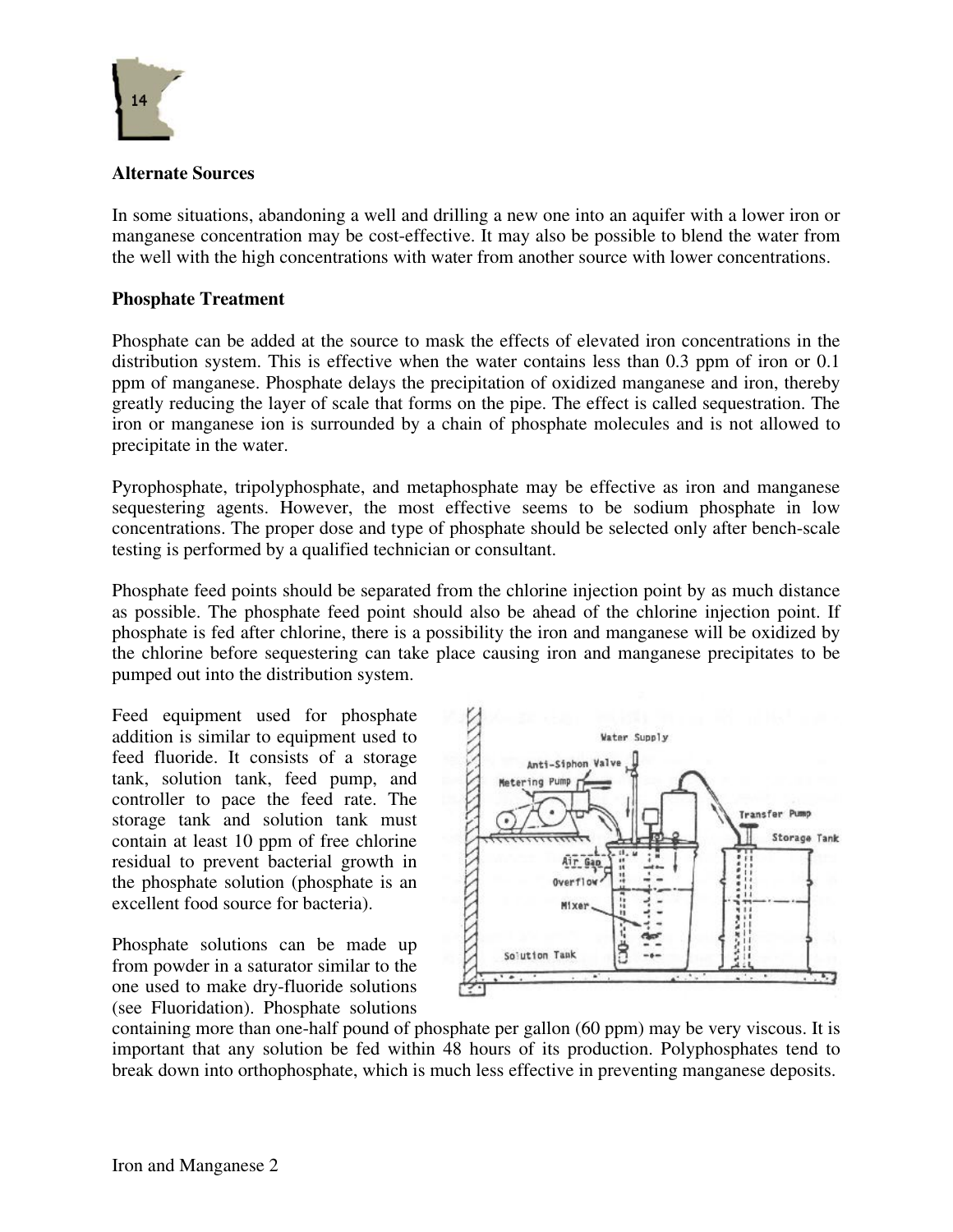

# **Alternate Sources**

In some situations, abandoning a well and drilling a new one into an aquifer with a lower iron or manganese concentration may be cost-effective. It may also be possible to blend the water from the well with the high concentrations with water from another source with lower concentrations.

# **Phosphate Treatment**

Phosphate can be added at the source to mask the effects of elevated iron concentrations in the distribution system. This is effective when the water contains less than 0.3 ppm of iron or 0.1 ppm of manganese. Phosphate delays the precipitation of oxidized manganese and iron, thereby greatly reducing the layer of scale that forms on the pipe. The effect is called sequestration. The iron or manganese ion is surrounded by a chain of phosphate molecules and is not allowed to precipitate in the water.

Pyrophosphate, tripolyphosphate, and metaphosphate may be effective as iron and manganese sequestering agents. However, the most effective seems to be sodium phosphate in low concentrations. The proper dose and type of phosphate should be selected only after bench-scale testing is performed by a qualified technician or consultant.

Phosphate feed points should be separated from the chlorine injection point by as much distance as possible. The phosphate feed point should also be ahead of the chlorine injection point. If phosphate is fed after chlorine, there is a possibility the iron and manganese will be oxidized by the chlorine before sequestering can take place causing iron and manganese precipitates to be pumped out into the distribution system.

Feed equipment used for phosphate addition is similar to equipment used to feed fluoride. It consists of a storage tank, solution tank, feed pump, and controller to pace the feed rate. The storage tank and solution tank must contain at least 10 ppm of free chlorine residual to prevent bacterial growth in the phosphate solution (phosphate is an excellent food source for bacteria).

Phosphate solutions can be made up from powder in a saturator similar to the one used to make dry-fluoride solutions (see Fluoridation). Phosphate solutions



containing more than one-half pound of phosphate per gallon (60 ppm) may be very viscous. It is important that any solution be fed within 48 hours of its production. Polyphosphates tend to break down into orthophosphate, which is much less effective in preventing manganese deposits.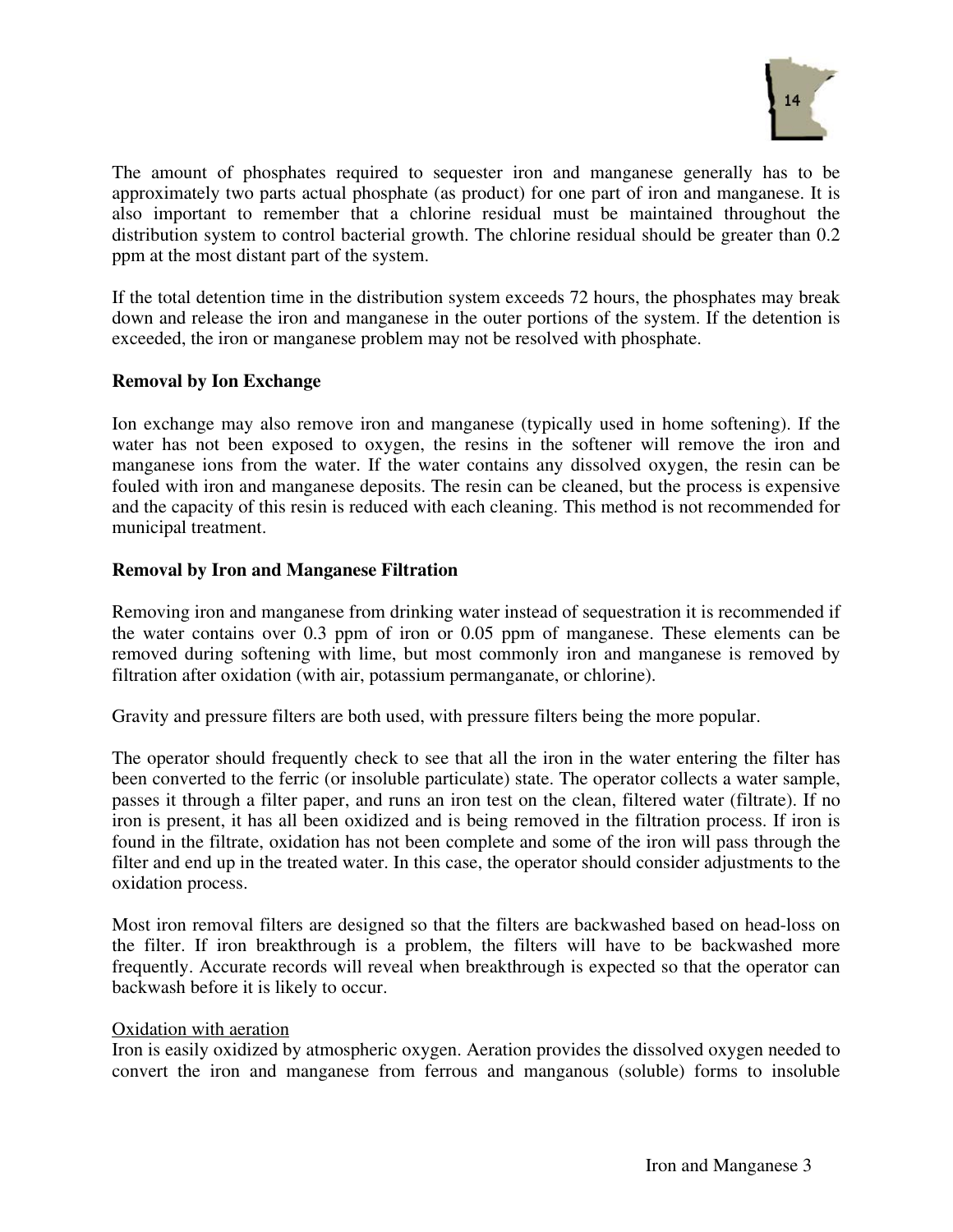

The amount of phosphates required to sequester iron and manganese generally has to be approximately two parts actual phosphate (as product) for one part of iron and manganese. It is also important to remember that a chlorine residual must be maintained throughout the distribution system to control bacterial growth. The chlorine residual should be greater than 0.2 ppm at the most distant part of the system.

If the total detention time in the distribution system exceeds 72 hours, the phosphates may break down and release the iron and manganese in the outer portions of the system. If the detention is exceeded, the iron or manganese problem may not be resolved with phosphate.

# **Removal by Ion Exchange**

Ion exchange may also remove iron and manganese (typically used in home softening). If the water has not been exposed to oxygen, the resins in the softener will remove the iron and manganese ions from the water. If the water contains any dissolved oxygen, the resin can be fouled with iron and manganese deposits. The resin can be cleaned, but the process is expensive and the capacity of this resin is reduced with each cleaning. This method is not recommended for municipal treatment.

#### **Removal by Iron and Manganese Filtration**

Removing iron and manganese from drinking water instead of sequestration it is recommended if the water contains over 0.3 ppm of iron or 0.05 ppm of manganese. These elements can be removed during softening with lime, but most commonly iron and manganese is removed by filtration after oxidation (with air, potassium permanganate, or chlorine).

Gravity and pressure filters are both used, with pressure filters being the more popular.

The operator should frequently check to see that all the iron in the water entering the filter has been converted to the ferric (or insoluble particulate) state. The operator collects a water sample, passes it through a filter paper, and runs an iron test on the clean, filtered water (filtrate). If no iron is present, it has all been oxidized and is being removed in the filtration process. If iron is found in the filtrate, oxidation has not been complete and some of the iron will pass through the filter and end up in the treated water. In this case, the operator should consider adjustments to the oxidation process.

Most iron removal filters are designed so that the filters are backwashed based on head-loss on the filter. If iron breakthrough is a problem, the filters will have to be backwashed more frequently. Accurate records will reveal when breakthrough is expected so that the operator can backwash before it is likely to occur.

#### Oxidation with aeration

Iron is easily oxidized by atmospheric oxygen. Aeration provides the dissolved oxygen needed to convert the iron and manganese from ferrous and manganous (soluble) forms to insoluble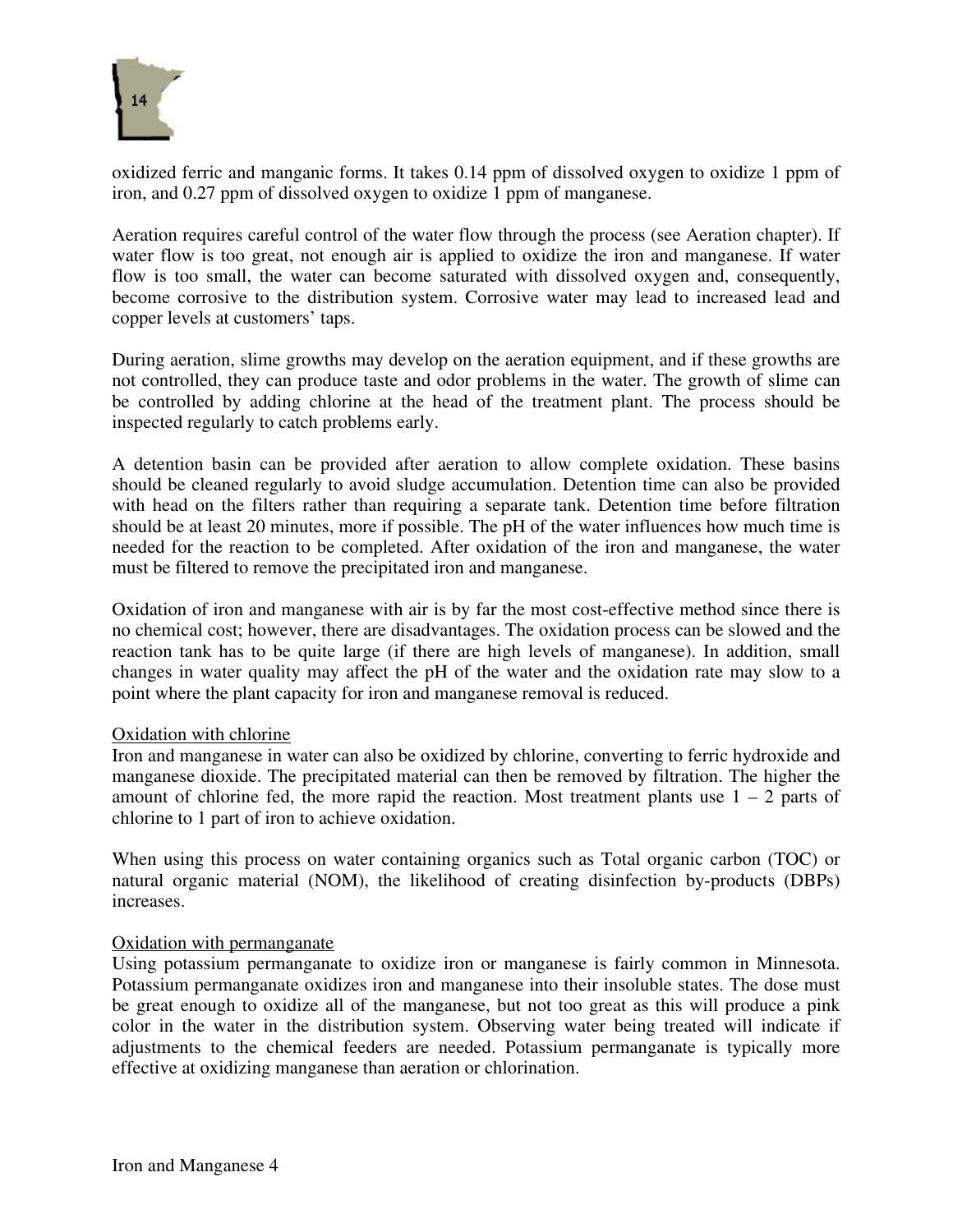

oxidized ferric and manganic forms. It takes 0.14 ppm of dissolved oxygen to oxidize 1 ppm of iron, and 0.27 ppm of dissolved oxygen to oxidize 1 ppm of manganese.

Aeration requires careful control of the water flow through the process (see Aeration chapter). If water flow is too great, not enough air is applied to oxidize the iron and manganese. If water flow is too small, the water can become saturated with dissolved oxygen and, consequently, become corrosive to the distribution system. Corrosive water may lead to increased lead and copper levels at customers' taps.

During aeration, slime growths may develop on the aeration equipment, and if these growths are not controlled, they can produce taste and odor problems in the water. The growth of slime can be controlled by adding chlorine at the head of the treatment plant. The process should be inspected regularly to catch problems early.

A detention basin can be provided after aeration to allow complete oxidation. These basins should be cleaned regularly to avoid sludge accumulation. Detention time can also be provided with head on the filters rather than requiring a separate tank. Detention time before filtration should be at least 20 minutes, more if possible. The pH of the water influences how much time is needed for the reaction to be completed. After oxidation of the iron and manganese, the water must be filtered to remove the precipitated iron and manganese.

Oxidation of iron and manganese with air is by far the most cost-effective method since there is no chemical cost; however, there are disadvantages. The oxidation process can be slowed and the reaction tank has to be quite large (if there are high levels of manganese). In addition, small changes in water quality may affect the pH of the water and the oxidation rate may slow to a point where the plant capacity for iron and manganese removal is reduced.

# Oxidation with chlorine

Iron and manganese in water can also be oxidized by chlorine, converting to ferric hydroxide and manganese dioxide. The precipitated material can then be removed by filtration. The higher the amount of chlorine fed, the more rapid the reaction. Most treatment plants use  $1 - 2$  parts of chlorine to 1 part of iron to achieve oxidation.

When using this process on water containing organics such as Total organic carbon (TOC) or natural organic material (NOM), the likelihood of creating disinfection by-products (DBPs) increases.

# Oxidation with permanganate

Using potassium permanganate to oxidize iron or manganese is fairly common in Minnesota. Potassium permanganate oxidizes iron and manganese into their insoluble states. The dose must be great enough to oxidize all of the manganese, but not too great as this will produce a pink color in the water in the distribution system. Observing water being treated will indicate if adjustments to the chemical feeders are needed. Potassium permanganate is typically more effective at oxidizing manganese than aeration or chlorination.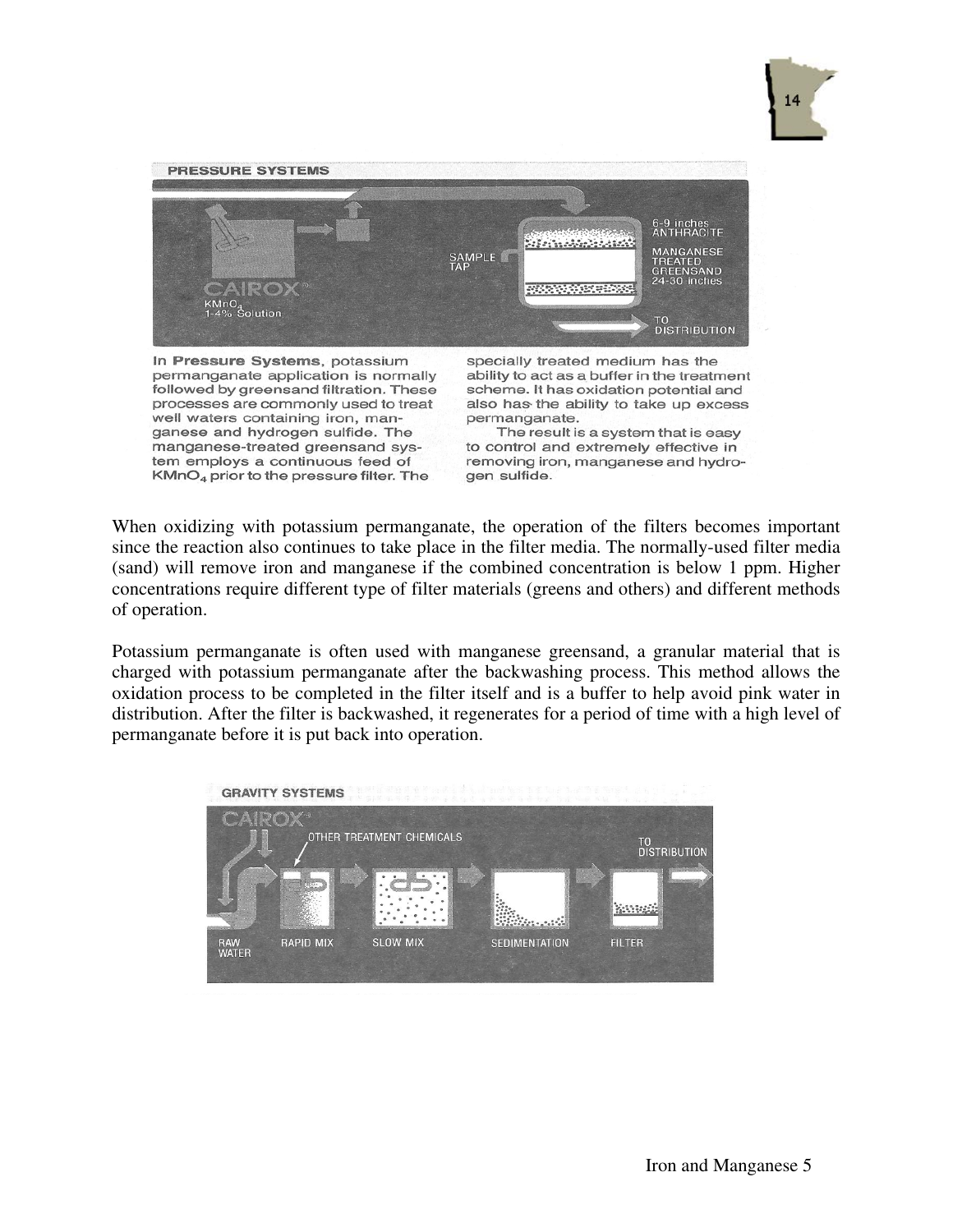



In Pressure Systems, potassium permanganate application is normally followed by greensand filtration. These processes are commonly used to treat well waters containing iron, manganese and hydrogen sulfide. The manganese-treated greensand system employs a continuous feed of KMnO<sub>4</sub> prior to the pressure filter. The

specially treated medium has the ability to act as a buffer in the treatment scheme. It has oxidation potential and also has the ability to take up excess permanganate.

The result is a system that is easy to control and extremely effective in removing iron, manganese and hydrogen sulfide.

When oxidizing with potassium permanganate, the operation of the filters becomes important since the reaction also continues to take place in the filter media. The normally-used filter media (sand) will remove iron and manganese if the combined concentration is below 1 ppm. Higher concentrations require different type of filter materials (greens and others) and different methods of operation.

Potassium permanganate is often used with manganese greensand, a granular material that is charged with potassium permanganate after the backwashing process. This method allows the oxidation process to be completed in the filter itself and is a buffer to help avoid pink water in distribution. After the filter is backwashed, it regenerates for a period of time with a high level of permanganate before it is put back into operation.